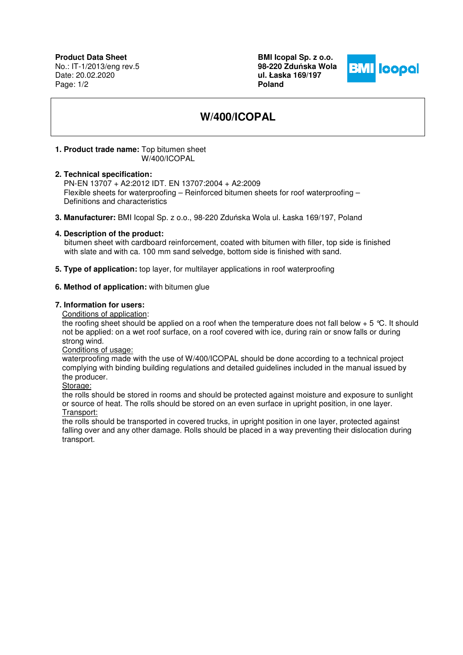**Product Data Sheet** No.: IT-1/2013/eng rev.5 Date: 20.02.2020 Page: 1/2

**BMI Icopal Sp. z o.o. 98-220 Zdu**ń**ska Wola ul. Łaska 169/197 Poland** 



# **W/400/ICOPAL**

#### **1. Product trade name:** Top bitumen sheet W/400/ICOPAL

#### **2. Technical specification:**

PN-EN 13707 + A2:2012 IDT. EN 13707:2004 + A2:2009 Flexible sheets for waterproofing – Reinforced bitumen sheets for roof waterproofing – Definitions and characteristics

**3. Manufacturer:** BMI Icopal Sp. z o.o., 98-220 Zduńska Wola ul. Łaska 169/197, Poland

#### **4. Description of the product:**

 bitumen sheet with cardboard reinforcement, coated with bitumen with filler, top side is finished with slate and with ca. 100 mm sand selvedge, bottom side is finished with sand.

**5. Type of application:** top layer, for multilayer applications in roof waterproofing

### **6. Method of application:** with bitumen glue

#### **7. Information for users:**

Conditions of application:

the roofing sheet should be applied on a roof when the temperature does not fall below  $+5$  °C. It should not be applied: on a wet roof surface, on a roof covered with ice, during rain or snow falls or during strong wind.

Conditions of usage:

waterproofing made with the use of W/400/ICOPAL should be done according to a technical project complying with binding building regulations and detailed guidelines included in the manual issued by the producer.

Storage:

the rolls should be stored in rooms and should be protected against moisture and exposure to sunlight or source of heat. The rolls should be stored on an even surface in upright position, in one layer. Transport:

the rolls should be transported in covered trucks, in upright position in one layer, protected against falling over and any other damage. Rolls should be placed in a way preventing their dislocation during transport.